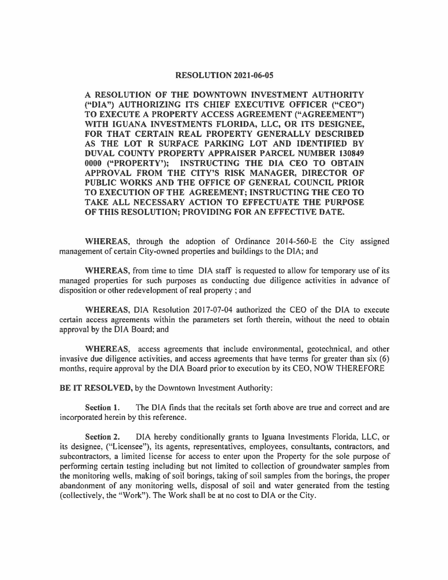## **RESOLUTION 2021-06-05**

**A RESOLUTION OF THE DOWNTOWN INVESTMENT AUTHORITY ("DIA") AUTHORIZING ITS CHIEF EXECUTIVE OFFICER ("CEO") TO EXECUTE A PROPERTY ACCESS AGREEMENT ("AGREEMENT") WITH IGUANA INVESTMENTS FLORIDA, LLC, OR ITS DESIGNEE, FOR THAT CERTAIN REAL PROPERTY GENERALLY DESCRIBED**  AS THE LOT R SURFACE PARKING LOT AND IDENTIFIED BY **DUVAL COUNTY PROPERTY APPRAISER PARCEL NUMBER 130849 0000 ("PROPERTY'); INSTRUCTING THE DIA CEO TO OBTAIN APPROVAL FROM THE CITY'S RISK MANAGER, DIRECTOR OF PUBLIC WORKS AND THE OFFICE OF GENERAL COUNCIL PRIOR TO EXECUTION OF THE AGREEMENT; INSTRUCTING THE CEO TO TAKE ALL NECESSARY ACTION TO EFFECTUATE THE PURPOSE OF THIS RESOLUTION; PROVIDING FOR AN EFFECTIVE DATE.** 

**WHEREAS,** through the adoption of Ordinance 2014-560-E the City assigned management of certain City-owned properties and buildings to the DIA; and

**WHEREAS,** from time to time DIA staff is requested to allow for temporary use of its managed properties for such purposes as conducting due diligence activities in advance of disposition or other redevelopment of real property ; and

**WHEREAS,** DIA Resolution 2017-07-04 authorized the CEO of the DIA to execute certain access agreements within the parameters set forth therein, without the need to obtain approval by the DIA Board; and

**WHEREAS,** access agreements that include environmental, geotechnical, and other invasive due diligence activities, and access agreements that have terms for greater than six (6) months, require approval by the DIA Board prior to execution by its CEO, NOW THEREFORE

**BE IT RESOLVED,** by the Downtown Investment Authority:

**Section 1.** The DIA finds that the recitals set forth above are true and correct and are incorporated herein by this reference.

**Section 2.** DIA hereby conditionally grants to Iguana Investments Florida, LLC, or its designee, ("Licensee"), its agents, representatives, employees, consultants, contractors, and subcontractors, a limited license for access to enter upon the Property for the sole purpose of performing certain testing including but not limited to collection of groundwater samples from the monitoring wells, making of soil borings, taking of soil samples from the borings, the proper abandonment of any monitoring wells, disposal of soil and water generated from the testing (collectively, the "Work"). The Work shall be at no cost to DIA or the City.